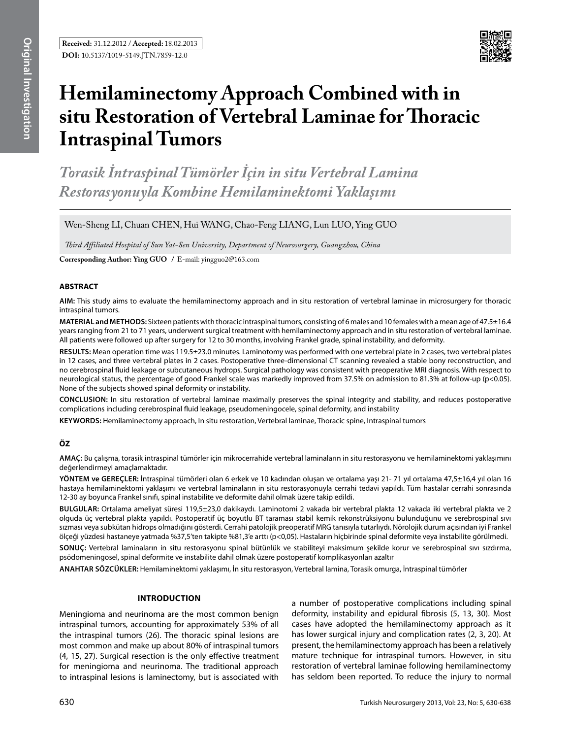

# **Hemilaminectomy Approach Combined with in situ Restoration of Vertebral Laminae for Thoracic Intraspinal Tumors**

*Torasik İntraspinal Tümörler İçin in situ Vertebral Lamina Restorasyonuyla Kombine Hemilaminektomi Yaklaşımı* 

Wen-Sheng LI, Chuan CHEN, Hui WANG, Chao-Feng LIANG, Lun LUO, Ying GUO

*Third Affiliated Hospital of Sun Yat-Sen University, Department of Neurosurgery, Guangzhou, China*

**Corresponding Author: Ying GUO /** E-mail: yingguo2@163.com

#### **ABSTRACT**

**AIm:** This study aims to evaluate the hemilaminectomy approach and in situ restoration of vertebral laminae in microsurgery for thoracic intraspinal tumors.

**MaterIal and Methods:** Sixteen patients with thoracic intraspinal tumors, consisting of 6 males and 10 females with a mean age of 47.5±16.4 years ranging from 21 to 71 years, underwent surgical treatment with hemilaminectomy approach and in situ restoration of vertebral laminae. All patients were followed up after surgery for 12 to 30 months, involving Frankel grade, spinal instability, and deformity.

**Results:** Mean operation time was 119.5±23.0 minutes. Laminotomy was performed with one vertebral plate in 2 cases, two vertebral plates in 12 cases, and three vertebral plates in 2 cases. Postoperative three-dimensional CT scanning revealed a stable bony reconstruction, and no cerebrospinal fluid leakage or subcutaneous hydrops. Surgical pathology was consistent with preoperative MRI diagnosis. With respect to neurological status, the percentage of good Frankel scale was markedly improved from 37.5% on admission to 81.3% at follow-up (p<0.05). None of the subjects showed spinal deformity or instability.

**ConclusIon:** In situ restoration of vertebral laminae maximally preserves the spinal integrity and stability, and reduces postoperative complications including cerebrospinal fluid leakage, pseudomeningocele, spinal deformity, and instability

**Keywords:** Hemilaminectomy approach, In situ restoration, Vertebral laminae, Thoracic spine, Intraspinal tumors

# **ÖZ**

**AMAÇ:** Bu çalışma, torasik intraspinal tümörler için mikrocerrahide vertebral laminaların in situ restorasyonu ve hemilaminektomi yaklaşımını değerlendirmeyi amaçlamaktadır.

**YÖNTEM ve GEREÇLER:** İntraspinal tümörleri olan 6 erkek ve 10 kadından oluşan ve ortalama yaşı 21- 71 yıl ortalama 47,5±16,4 yıl olan 16 hastaya hemilaminektomi yaklaşımı ve vertebral laminaların in situ restorasyonuyla cerrahi tedavi yapıldı. Tüm hastalar cerrahi sonrasında 12-30 ay boyunca Frankel sınıfı, spinal instabilite ve deformite dahil olmak üzere takip edildi.

**BULGULAR:** Ortalama ameliyat süresi 119,5±23,0 dakikaydı. Laminotomi 2 vakada bir vertebral plakta 12 vakada iki vertebral plakta ve 2 olguda üç vertebral plakta yapıldı. Postoperatif üç boyutlu BT taraması stabil kemik rekonstrüksiyonu bulunduğunu ve serebrospinal sıvı sızması veya subkütan hidrops olmadığını gösterdi. Cerrahi patolojik preoperatif MRG tanısıyla tutarlıydı. Nörolojik durum açısından iyi Frankel ölçeği yüzdesi hastaneye yatmada %37,5'ten takipte %81,3'e arttı (p<0,05). Hastaların hiçbirinde spinal deformite veya instabilite görülmedi.

**SONUÇ:** Vertebral laminaların in situ restorasyonu spinal bütünlük ve stabiliteyi maksimum şekilde korur ve serebrospinal sıvı sızdırma, psödomeningosel, spinal deformite ve instabilite dahil olmak üzere postoperatif komplikasyonları azaltır

**ANAHTAR SÖZCÜKLER:** Hemilaminektomi yaklaşımı, İn situ restorasyon, Vertebral lamina, Torasik omurga, İntraspinal tümörler

#### **Introduction**

Meningioma and neurinoma are the most common benign intraspinal tumors, accounting for approximately 53% of all the intraspinal tumors (26). The thoracic spinal lesions are most common and make up about 80% of intraspinal tumors (4, 15, 27). Surgical resection is the only effective treatment for meningioma and neurinoma. The traditional approach to intraspinal lesions is laminectomy, but is associated with a number of postoperative complications including spinal deformity, instability and epidural fibrosis (5, 13, 30). Most cases have adopted the hemilaminectomy approach as it has lower surgical injury and complication rates (2, 3, 20). At present, the hemilaminectomy approach has been a relatively mature technique for intraspinal tumors. However, in situ restoration of vertebral laminae following hemilaminectomy has seldom been reported. To reduce the injury to normal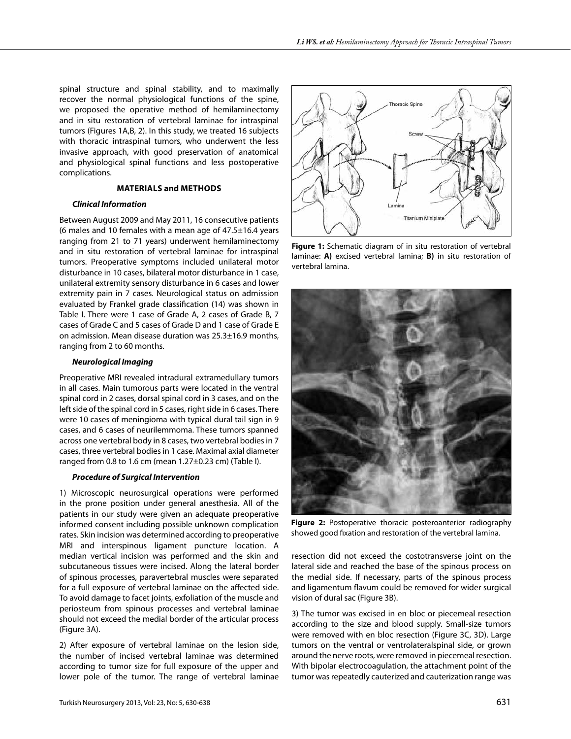spinal structure and spinal stability, and to maximally recover the normal physiological functions of the spine, we proposed the operative method of hemilaminectomy and in situ restoration of vertebral laminae for intraspinal tumors (Figures 1A,B, 2). In this study, we treated 16 subjects with thoracic intraspinal tumors, who underwent the less invasive approach, with good preservation of anatomical and physiological spinal functions and less postoperative complications.

# **Materials and Methods**

## *Clinical Information*

Between August 2009 and May 2011, 16 consecutive patients (6 males and 10 females with a mean age of  $47.5 \pm 16.4$  years ranging from 21 to 71 years) underwent hemilaminectomy and in situ restoration of vertebral laminae for intraspinal tumors. Preoperative symptoms included unilateral motor disturbance in 10 cases, bilateral motor disturbance in 1 case, unilateral extremity sensory disturbance in 6 cases and lower extremity pain in 7 cases. Neurological status on admission evaluated by Frankel grade classification (14) was shown in Table I. There were 1 case of Grade A, 2 cases of Grade B, 7 cases of Grade C and 5 cases of Grade D and 1 case of Grade E on admission. Mean disease duration was 25.3±16.9 months, ranging from 2 to 60 months.

# *Neurological Imaging*

Preoperative MRI revealed intradural extramedullary tumors in all cases. Main tumorous parts were located in the ventral spinal cord in 2 cases, dorsal spinal cord in 3 cases, and on the left side of the spinal cord in 5 cases, right side in 6 cases. There were 10 cases of meningioma with typical dural tail sign in 9 cases, and 6 cases of neurilemmoma. These tumors spanned across one vertebral body in 8 cases, two vertebral bodies in 7 cases, three vertebral bodies in 1 case. Maximal axial diameter ranged from 0.8 to 1.6 cm (mean 1.27±0.23 cm) (Table I).

#### *Procedure of Surgical Intervention*

1) Microscopic neurosurgical operations were performed in the prone position under general anesthesia. All of the patients in our study were given an adequate preoperative informed consent including possible unknown complication rates. Skin incision was determined according to preoperative MRI and interspinous ligament puncture location. A median vertical incision was performed and the skin and subcutaneous tissues were incised. Along the lateral border of spinous processes, paravertebral muscles were separated for a full exposure of vertebral laminae on the affected side. To avoid damage to facet joints, exfoliation of the muscle and periosteum from spinous processes and vertebral laminae should not exceed the medial border of the articular process (Figure 3A).

2) After exposure of vertebral laminae on the lesion side, the number of incised vertebral laminae was determined according to tumor size for full exposure of the upper and lower pole of the tumor. The range of vertebral laminae



**Figure 1:** Schematic diagram of in situ restoration of vertebral laminae: **A)** excised vertebral lamina; **B)** in situ restoration of vertebral lamina.



**Figure 2:** Postoperative thoracic posteroanterior radiography showed good fixation and restoration of the vertebral lamina.

resection did not exceed the costotransverse joint on the lateral side and reached the base of the spinous process on the medial side. If necessary, parts of the spinous process and ligamentum flavum could be removed for wider surgical vision of dural sac (Figure 3B).

3) The tumor was excised in en bloc or piecemeal resection according to the size and blood supply. Small-size tumors were removed with en bloc resection (Figure 3C, 3D). Large tumors on the ventral or ventrolateralspinal side, or grown around the nerve roots, were removed in piecemeal resection. With bipolar electrocoagulation, the attachment point of the tumor was repeatedly cauterized and cauterization range was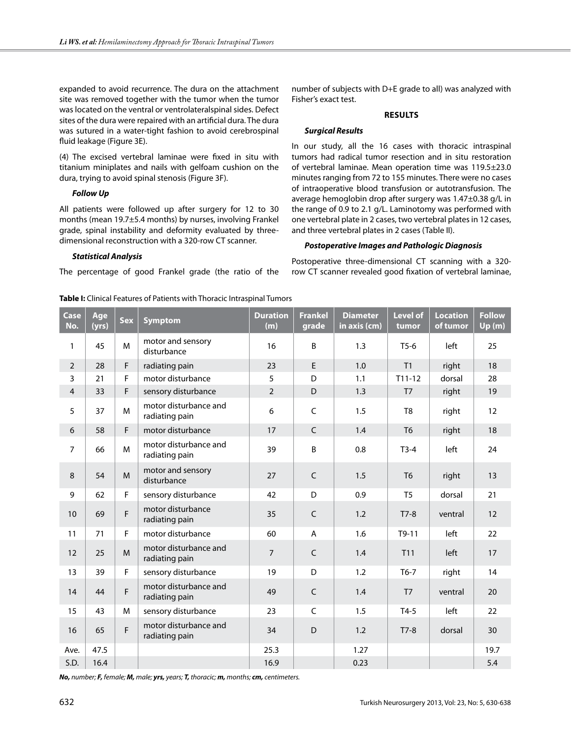expanded to avoid recurrence. The dura on the attachment site was removed together with the tumor when the tumor was located on the ventral or ventrolateralspinal sides. Defect sites of the dura were repaired with an artificial dura. The dura was sutured in a water-tight fashion to avoid cerebrospinal fluid leakage (Figure 3E).

(4) The excised vertebral laminae were fixed in situ with titanium miniplates and nails with gelfoam cushion on the dura, trying to avoid spinal stenosis (Figure 3F).

# *Follow Up*

All patients were followed up after surgery for 12 to 30 months (mean 19.7±5.4 months) by nurses, involving Frankel grade, spinal instability and deformity evaluated by threedimensional reconstruction with a 320-row CT scanner.

# *Statistical Analysis*

The percentage of good Frankel grade (the ratio of the

number of subjects with D+E grade to all) was analyzed with Fisher's exact test.

## **Results**

#### *Surgical Results*

In our study, all the 16 cases with thoracic intraspinal tumors had radical tumor resection and in situ restoration of vertebral laminae. Mean operation time was 119.5±23.0 minutes ranging from 72 to 155 minutes. There were no cases of intraoperative blood transfusion or autotransfusion. The average hemoglobin drop after surgery was 1.47±0.38 g/L in the range of 0.9 to 2.1 g/L. Laminotomy was performed with one vertebral plate in 2 cases, two vertebral plates in 12 cases, and three vertebral plates in 2 cases (Table II).

# *Postoperative Images and Pathologic Diagnosis*

Postoperative three-dimensional CT scanning with a 320 row CT scanner revealed good fixation of vertebral laminae,

| Case<br>No.    | Age<br>(yrs) | <b>Sex</b> | <b>Symptom</b>                          | <b>Duration</b><br>(m) | <b>Frankel</b><br>grade | <b>Diameter</b><br>in axis (cm) | <b>Level of</b><br>tumor | <b>Location</b><br>of tumor | <b>Follow</b><br>Up(m) |
|----------------|--------------|------------|-----------------------------------------|------------------------|-------------------------|---------------------------------|--------------------------|-----------------------------|------------------------|
| $\mathbf{1}$   | 45           | M          | motor and sensory<br>disturbance        | 16                     | $\sf B$                 | 1.3                             | $T5-6$                   | left                        | 25                     |
| $\overline{2}$ | 28           | F.         | radiating pain                          | 23                     | E                       | 1.0                             | T1                       | right                       | 18                     |
| 3              | 21           | F          | motor disturbance                       | 5                      | D                       | 1.1                             | $T11-12$                 | dorsal                      | 28                     |
| $\overline{4}$ | 33           | F.         | sensory disturbance                     | $\overline{2}$         | D                       | 1.3                             | T <sub>7</sub>           | right                       | 19                     |
| 5              | 37           | M          | motor disturbance and<br>radiating pain | 6                      | $\mathsf{C}$            | 1.5                             | T <sub>8</sub>           | right                       | 12                     |
| 6              | 58           | F          | motor disturbance                       | 17                     | $\mathsf{C}$            | 1.4                             | T <sub>6</sub>           | right                       | 18                     |
| $\overline{7}$ | 66           | M          | motor disturbance and<br>radiating pain | 39                     | B                       | 0.8                             | $T3-4$                   | left                        | 24                     |
| 8              | 54           | M          | motor and sensory<br>disturbance        | 27                     | $\mathsf{C}$            | 1.5                             | T <sub>6</sub>           | right                       | 13                     |
| 9              | 62           | F.         | sensory disturbance                     | 42                     | D                       | 0.9                             | T <sub>5</sub>           | dorsal                      | 21                     |
| 10             | 69           | F          | motor disturbance<br>radiating pain     | 35                     | $\mathsf{C}$            | 1.2                             | $T7-8$                   | ventral                     | 12                     |
| 11             | 71           | F.         | motor disturbance                       | 60                     | A                       | 1.6                             | $T9-11$                  | left                        | 22                     |
| 12             | 25           | M          | motor disturbance and<br>radiating pain | $\overline{7}$         | $\mathsf{C}$            | 1.4                             | T11                      | left                        | 17                     |
| 13             | 39           | F.         | sensory disturbance                     | 19                     | D                       | 1.2                             | $T6-7$                   | right                       | 14                     |
| 14             | 44           | F          | motor disturbance and<br>radiating pain | 49                     | $\mathsf C$             | 1.4                             | T <sub>7</sub>           | ventral                     | 20                     |
| 15             | 43           | M          | sensory disturbance                     | 23                     | $\mathsf{C}$            | 1.5                             | $T4-5$                   | left                        | 22                     |
| 16             | 65           | F          | motor disturbance and<br>radiating pain | 34                     | D                       | 1.2                             | $T7-8$                   | dorsal                      | 30                     |
| Ave.           | 47.5         |            |                                         | 25.3                   |                         | 1.27                            |                          |                             | 19.7                   |
| S.D.           | 16.4         |            |                                         | 16.9                   |                         | 0.23                            |                          |                             | 5.4                    |

*No, number; F, female; M, male; yrs, years; T, thoracic; m, months; cm, centimeters.*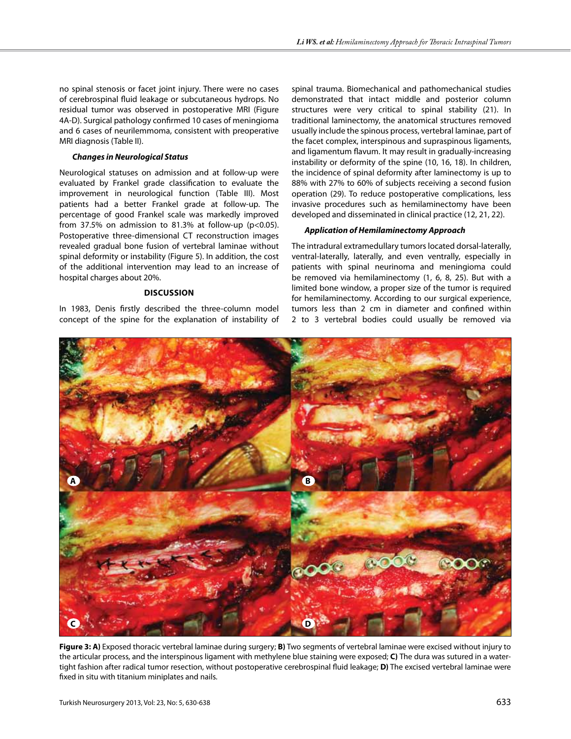no spinal stenosis or facet joint injury. There were no cases of cerebrospinal fluid leakage or subcutaneous hydrops. No residual tumor was observed in postoperative MRI (Figure 4A-D). Surgical pathology confirmed 10 cases of meningioma and 6 cases of neurilemmoma, consistent with preoperative MRI diagnosis (Table II).

## *Changes in Neurological Status*

Neurological statuses on admission and at follow-up were evaluated by Frankel grade classification to evaluate the improvement in neurological function (Table III). Most patients had a better Frankel grade at follow-up. The percentage of good Frankel scale was markedly improved from 37.5% on admission to 81.3% at follow-up ( $p$ <0.05). Postoperative three-dimensional CT reconstruction images revealed gradual bone fusion of vertebral laminae without spinal deformity or instability (Figure 5). In addition, the cost of the additional intervention may lead to an increase of hospital charges about 20%.

# **Discussion**

In 1983, Denis firstly described the three-column model concept of the spine for the explanation of instability of

spinal trauma. Biomechanical and pathomechanical studies demonstrated that intact middle and posterior column structures were very critical to spinal stability (21). In traditional laminectomy, the anatomical structures removed usually include the spinous process, vertebral laminae, part of the facet complex, interspinous and supraspinous ligaments, and ligamentum flavum. It may result in gradually-increasing instability or deformity of the spine (10, 16, 18). In children, the incidence of spinal deformity after laminectomy is up to 88% with 27% to 60% of subjects receiving a second fusion operation (29). To reduce postoperative complications, less invasive procedures such as hemilaminectomy have been developed and disseminated in clinical practice (12, 21, 22).

# *Application of Hemilaminectomy Approach*

The intradural extramedullary tumors located dorsal-laterally, ventral-laterally, laterally, and even ventrally, especially in patients with spinal neurinoma and meningioma could be removed via hemilaminectomy (1, 6, 8, 25). But with a limited bone window, a proper size of the tumor is required for hemilaminectomy. According to our surgical experience, tumors less than 2 cm in diameter and confined within 2 to 3 vertebral bodies could usually be removed via



**Figure 3: A)** Exposed thoracic vertebral laminae during surgery; **B)** Two segments of vertebral laminae were excised without injury to the articular process, and the interspinous ligament with methylene blue staining were exposed; **C)** The dura was sutured in a watertight fashion after radical tumor resection, without postoperative cerebrospinal fluid leakage; **D)** The excised vertebral laminae were fixed in situ with titanium miniplates and nails.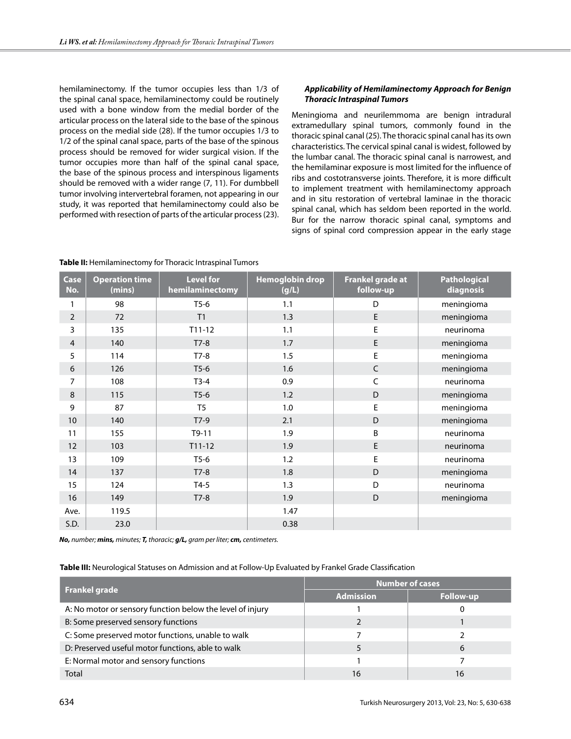hemilaminectomy. If the tumor occupies less than 1/3 of the spinal canal space, hemilaminectomy could be routinely used with a bone window from the medial border of the articular process on the lateral side to the base of the spinous process on the medial side (28). If the tumor occupies 1/3 to 1/2 of the spinal canal space, parts of the base of the spinous process should be removed for wider surgical vision. If the tumor occupies more than half of the spinal canal space, the base of the spinous process and interspinous ligaments should be removed with a wider range (7, 11). For dumbbell tumor involving intervertebral foramen, not appearing in our study, it was reported that hemilaminectomy could also be performed with resection of parts of the articular process (23).

# *Applicability of Hemilaminectomy Approach for Benign Thoracic Intraspinal Tumors*

Meningioma and neurilemmoma are benign intradural extramedullary spinal tumors, commonly found in the thoracic spinal canal (25). The thoracic spinal canal has its own characteristics. The cervical spinal canal is widest, followed by the lumbar canal. The thoracic spinal canal is narrowest, and the hemilaminar exposure is most limited for the influence of ribs and costotransverse joints. Therefore, it is more difficult to implement treatment with hemilaminectomy approach and in situ restoration of vertebral laminae in the thoracic spinal canal, which has seldom been reported in the world. Bur for the narrow thoracic spinal canal, symptoms and signs of spinal cord compression appear in the early stage

| <b>Case</b><br>No. | <b>Operation time</b><br>(mins) | <b>Level for</b><br>hemilaminectomy | <b>Hemoglobin drop</b><br>(g/L) | Frankel grade at<br>follow-up | <b>Pathological</b><br>diagnosis |
|--------------------|---------------------------------|-------------------------------------|---------------------------------|-------------------------------|----------------------------------|
| 1                  | 98                              | $T5-6$                              | 1.1                             | D                             | meningioma                       |
| $\overline{2}$     | 72                              | T <sub>1</sub>                      | 1.3                             | $\mathsf E$                   | meningioma                       |
| 3                  | 135                             | $T11-12$                            | 1.1                             | E                             | neurinoma                        |
| $\overline{4}$     | 140                             | $T7-8$                              | 1.7                             | $\mathsf E$                   | meningioma                       |
| 5                  | 114                             | $T7-8$                              | 1.5                             | E                             | meningioma                       |
| $\boldsymbol{6}$   | 126                             | $T5-6$                              | 1.6                             | $\mathsf C$                   | meningioma                       |
| 7                  | 108                             | $T3-4$                              | 0.9                             | $\mathsf C$                   | neurinoma                        |
| $\,8\,$            | 115                             | $T5-6$                              | 1.2                             | D                             | meningioma                       |
| 9                  | 87                              | T <sub>5</sub>                      | 1.0                             | E                             | meningioma                       |
| 10                 | 140                             | $T7-9$                              | 2.1                             | D                             | meningioma                       |
| 11                 | 155                             | $T9-11$                             | 1.9                             | B                             | neurinoma                        |
| 12                 | 103                             | $T11-12$                            | 1.9                             | $\mathsf E$                   | neurinoma                        |
| 13                 | 109                             | $T5-6$                              | 1.2                             | E                             | neurinoma                        |
| 14                 | 137                             | $T7-8$                              | 1.8                             | D                             | meningioma                       |
| 15                 | 124                             | $T4-5$                              | 1.3                             | D                             | neurinoma                        |
| 16                 | 149                             | $T7-8$                              | 1.9                             | D                             | meningioma                       |
| Ave.               | 119.5                           |                                     | 1.47                            |                               |                                  |
| S.D.               | 23.0                            |                                     | 0.38                            |                               |                                  |

**Table II:** Hemilaminectomy for Thoracic Intraspinal Tumors

*No, number; mins, minutes; T, thoracic; g/L, gram per liter; cm, centimeters.*

# **Table III:** Neurological Statuses on Admission and at Follow-Up Evaluated by Frankel Grade Classification

|                                                           | <b>Number of cases</b> |                  |  |  |
|-----------------------------------------------------------|------------------------|------------------|--|--|
| <b>Frankel grade</b>                                      | <b>Admission</b>       | <b>Follow-up</b> |  |  |
| A: No motor or sensory function below the level of injury |                        |                  |  |  |
| B: Some preserved sensory functions                       |                        |                  |  |  |
| C: Some preserved motor functions, unable to walk         |                        |                  |  |  |
| D: Preserved useful motor functions, able to walk         |                        | 6                |  |  |
| E: Normal motor and sensory functions                     |                        |                  |  |  |
| <b>Total</b>                                              | 16                     | 16               |  |  |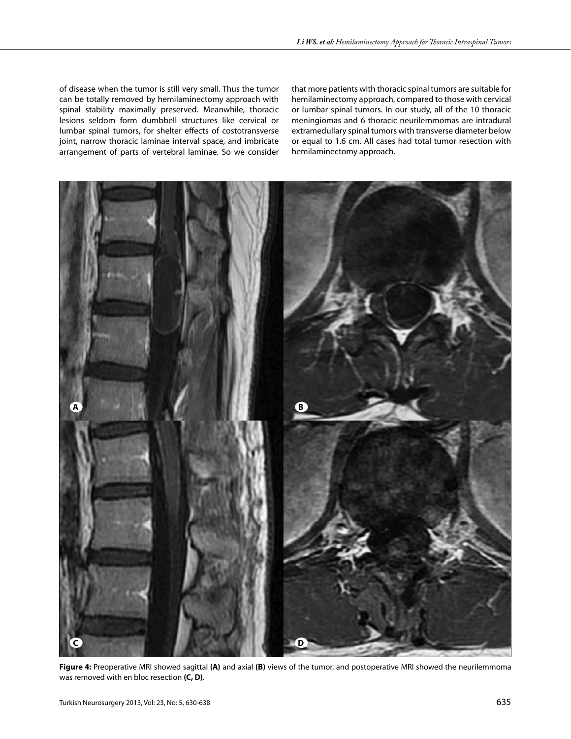of disease when the tumor is still very small. Thus the tumor can be totally removed by hemilaminectomy approach with spinal stability maximally preserved. Meanwhile, thoracic lesions seldom form dumbbell structures like cervical or lumbar spinal tumors, for shelter effects of costotransverse joint, narrow thoracic laminae interval space, and imbricate arrangement of parts of vertebral laminae. So we consider

that more patients with thoracic spinal tumors are suitable for hemilaminectomy approach, compared to those with cervical or lumbar spinal tumors. In our study, all of the 10 thoracic meningiomas and 6 thoracic neurilemmomas are intradural extramedullary spinal tumors with transverse diameter below or equal to 1.6 cm. All cases had total tumor resection with hemilaminectomy approach.



**Figure 4:** Preoperative MRI showed sagittal **(A)** and axial **(B)** views of the tumor, and postoperative MRI showed the neurilemmoma was removed with en bloc resection **(C, D)**.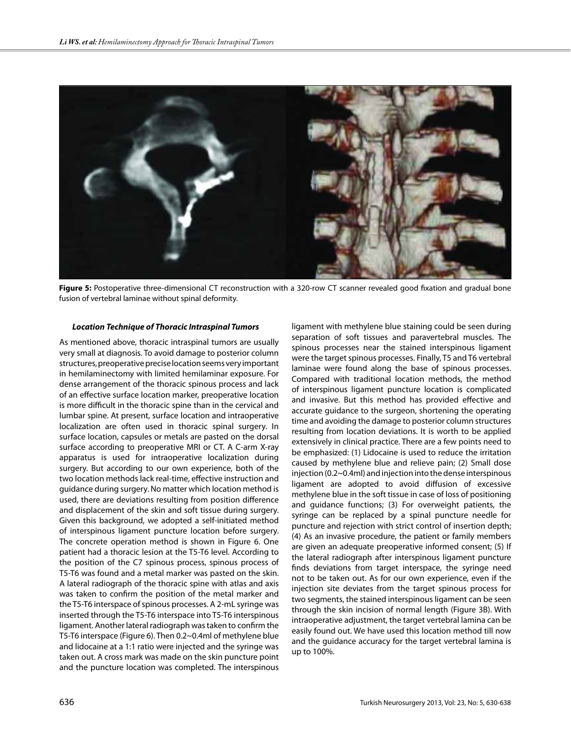

Figure 5: Postoperative three-dimensional CT reconstruction with a 320-row CT scanner revealed good fixation and gradual bone fusion of vertebral laminae without spinal deformity.

#### *Location Technique of Thoracic Intraspinal Tumors*

As mentioned above, thoracic intraspinal tumors are usually very small at diagnosis. To avoid damage to posterior column structures, preoperative precise location seems very important in hemilaminectomy with limited hemilaminar exposure. For dense arrangement of the thoracic spinous process and lack of an effective surface location marker, preoperative location is more difficult in the thoracic spine than in the cervical and lumbar spine. At present, surface location and intraoperative localization are often used in thoracic spinal surgery. In surface location, capsules or metals are pasted on the dorsal surface according to preoperative MRI or CT. A C-arm X-ray apparatus is used for intraoperative localization during surgery. But according to our own experience, both of the two location methods lack real-time, effective instruction and guidance during surgery. No matter which location method is used, there are deviations resulting from position difference and displacement of the skin and soft tissue during surgery. Given this background, we adopted a self-initiated method of interspinous ligament puncture location before surgery. The concrete operation method is shown in Figure 6. One patient had a thoracic lesion at the T5-T6 level. According to the position of the C7 spinous process, spinous process of T5-T6 was found and a metal marker was pasted on the skin. A lateral radiograph of the thoracic spine with atlas and axis was taken to confirm the position of the metal marker and the T5-T6 interspace of spinous processes. A 2-mL syringe was inserted through the T5-T6 interspace into T5-T6 interspinous ligament. Another lateral radiograph was taken to confirm the T5-T6 interspace (Figure 6). Then 0.2~0.4ml of methylene blue and lidocaine at a 1:1 ratio were injected and the syringe was taken out. A cross mark was made on the skin puncture point and the puncture location was completed. The interspinous

ligament with methylene blue staining could be seen during separation of soft tissues and paravertebral muscles. The spinous processes near the stained interspinous ligament were the target spinous processes. Finally, T5 and T6 vertebral laminae were found along the base of spinous processes. Compared with traditional location methods, the method of interspinous ligament puncture location is complicated and invasive. But this method has provided effective and accurate guidance to the surgeon, shortening the operating time and avoiding the damage to posterior column structures resulting from location deviations. It is worth to be applied extensively in clinical practice. There are a few points need to be emphasized: (1) Lidocaine is used to reduce the irritation caused by methylene blue and relieve pain; (2) Small dose injection (0.2~0.4ml) and injection into the dense interspinous ligament are adopted to avoid diffusion of excessive methylene blue in the soft tissue in case of loss of positioning and guidance functions; (3) For overweight patients, the syringe can be replaced by a spinal puncture needle for puncture and rejection with strict control of insertion depth; (4) As an invasive procedure, the patient or family members are given an adequate preoperative informed consent; (5) If the lateral radiograph after interspinous ligament puncture finds deviations from target interspace, the syringe need not to be taken out. As for our own experience, even if the injection site deviates from the target spinous process for two segments, the stained interspinous ligament can be seen through the skin incision of normal length (Figure 3B). With intraoperative adjustment, the target vertebral lamina can be easily found out. We have used this location method till now and the guidance accuracy for the target vertebral lamina is up to 100%.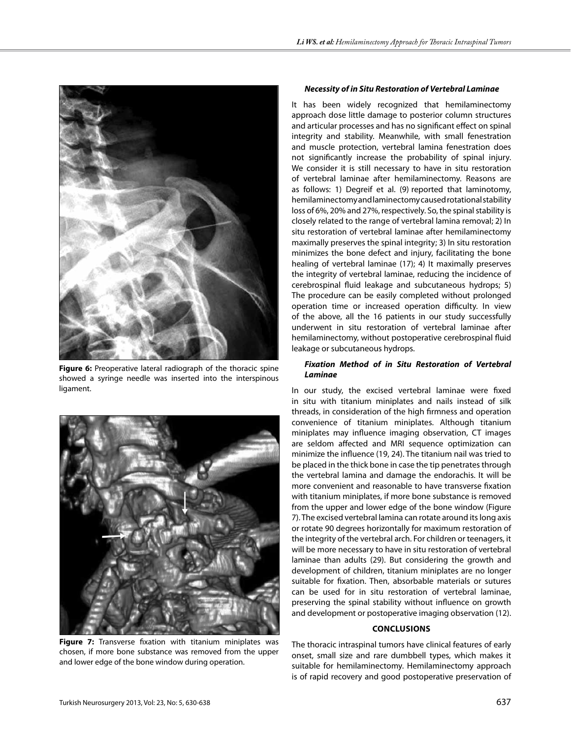

**Figure 6:** Preoperative lateral radiograph of the thoracic spine showed a syringe needle was inserted into the interspinous ligament.



**Figure 7:** Transverse fixation with titanium miniplates was chosen, if more bone substance was removed from the upper and lower edge of the bone window during operation.

#### *Necessity of in Situ Restoration of Vertebral Laminae*

It has been widely recognized that hemilaminectomy approach dose little damage to posterior column structures and articular processes and has no significant effect on spinal integrity and stability. Meanwhile, with small fenestration and muscle protection, vertebral lamina fenestration does not significantly increase the probability of spinal injury. We consider it is still necessary to have in situ restoration of vertebral laminae after hemilaminectomy. Reasons are as follows: 1) Degreif et al. (9) reported that laminotomy, hemilaminectomy and laminectomy caused rotational stability loss of 6%, 20% and 27%, respectively. So, the spinal stability is closely related to the range of vertebral lamina removal; 2) In situ restoration of vertebral laminae after hemilaminectomy maximally preserves the spinal integrity; 3) In situ restoration minimizes the bone defect and injury, facilitating the bone healing of vertebral laminae (17); 4) It maximally preserves the integrity of vertebral laminae, reducing the incidence of cerebrospinal fluid leakage and subcutaneous hydrops; 5) The procedure can be easily completed without prolonged operation time or increased operation difficulty. In view of the above, all the 16 patients in our study successfully underwent in situ restoration of vertebral laminae after hemilaminectomy, without postoperative cerebrospinal fluid leakage or subcutaneous hydrops.

## *Fixation Method of in Situ Restoration of Vertebral Laminae*

In our study, the excised vertebral laminae were fixed in situ with titanium miniplates and nails instead of silk threads, in consideration of the high firmness and operation convenience of titanium miniplates. Although titanium miniplates may influence imaging observation, CT images are seldom affected and MRI sequence optimization can minimize the influence (19, 24). The titanium nail was tried to be placed in the thick bone in case the tip penetrates through the vertebral lamina and damage the endorachis. It will be more convenient and reasonable to have transverse fixation with titanium miniplates, if more bone substance is removed from the upper and lower edge of the bone window (Figure 7). The excised vertebral lamina can rotate around its long axis or rotate 90 degrees horizontally for maximum restoration of the integrity of the vertebral arch. For children or teenagers, it will be more necessary to have in situ restoration of vertebral laminae than adults (29). But considering the growth and development of children, titanium miniplates are no longer suitable for fixation. Then, absorbable materials or sutures can be used for in situ restoration of vertebral laminae, preserving the spinal stability without influence on growth and development or postoperative imaging observation (12).

#### **Conclusions**

The thoracic intraspinal tumors have clinical features of early onset, small size and rare dumbbell types, which makes it suitable for hemilaminectomy. Hemilaminectomy approach is of rapid recovery and good postoperative preservation of